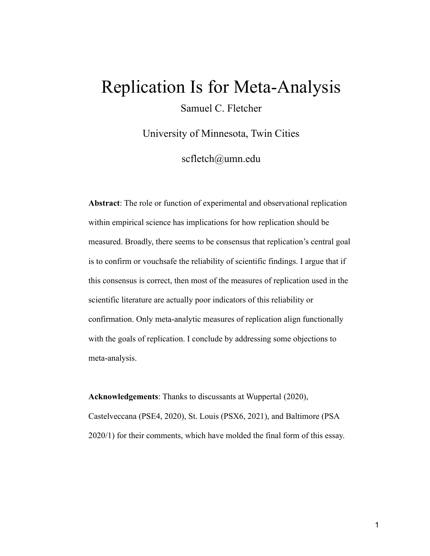# Replication Is for Meta-Analysis

Samuel C. Fletcher

University of Minnesota, Twin Cities

scfletch@umn.edu

**Abstract**: The role or function of experimental and observational replication within empirical science has implications for how replication should be measured. Broadly, there seems to be consensus that replication's central goal is to confirm or vouchsafe the reliability of scientific findings. I argue that if this consensus is correct, then most of the measures of replication used in the scientific literature are actually poor indicators of this reliability or confirmation. Only meta-analytic measures of replication align functionally with the goals of replication. I conclude by addressing some objections to meta-analysis.

**Acknowledgements**: Thanks to discussants at Wuppertal (2020), Castelveccana (PSE4, 2020), St. Louis (PSX6, 2021), and Baltimore (PSA 2020/1) for their comments, which have molded the final form of this essay.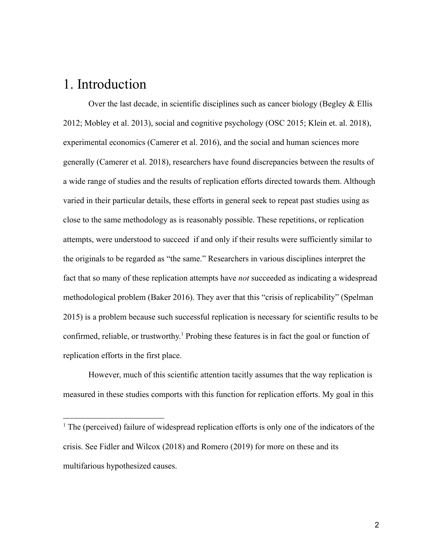#### 1. Introduction

Over the last decade, in scientific disciplines such as cancer biology (Begley  $&$  Ellis 2012; Mobley et al. 2013), social and cognitive psychology (OSC 2015; Klein et. al. 2018), experimental economics (Camerer et al. 2016), and the social and human sciences more generally (Camerer et al. 2018), researchers have found discrepancies between the results of a wide range of studies and the results of replication efforts directed towards them. Although varied in their particular details, these efforts in general seek to repeat past studies using as close to the same methodology as is reasonably possible. These repetitions, or replication attempts, were understood to succeed if and only if their results were sufficiently similar to the originals to be regarded as "the same." Researchers in various disciplines interpret the fact that so many of these replication attempts have *not* succeeded as indicating a widespread methodological problem (Baker 2016). They aver that this "crisis of replicability" (Spelman 2015) is a problem because such successful replication is necessary for scientific results to be confirmed, reliable, or trustworthy. <sup>1</sup> Probing these features is in fact the goal or function of replication efforts in the first place.

However, much of this scientific attention tacitly assumes that the way replication is measured in these studies comports with this function for replication efforts. My goal in this

<sup>&</sup>lt;sup>1</sup> The (perceived) failure of widespread replication efforts is only one of the indicators of the crisis. See Fidler and Wilcox (2018) and Romero (2019) for more on these and its multifarious hypothesized causes.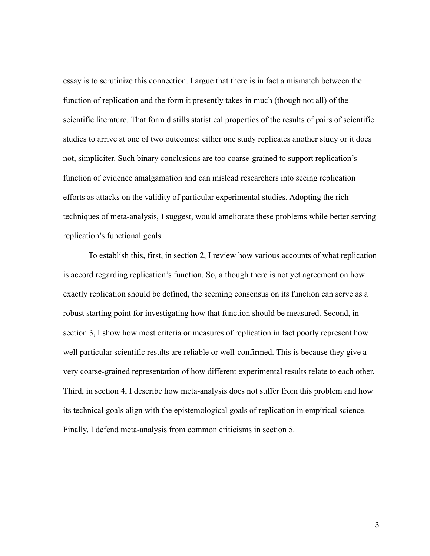essay is to scrutinize this connection. I argue that there is in fact a mismatch between the function of replication and the form it presently takes in much (though not all) of the scientific literature. That form distills statistical properties of the results of pairs of scientific studies to arrive at one of two outcomes: either one study replicates another study or it does not, simpliciter. Such binary conclusions are too coarse-grained to support replication's function of evidence amalgamation and can mislead researchers into seeing replication efforts as attacks on the validity of particular experimental studies. Adopting the rich techniques of meta-analysis, I suggest, would ameliorate these problems while better serving replication's functional goals.

To establish this, first, in section 2, I review how various accounts of what replication is accord regarding replication's function. So, although there is not yet agreement on how exactly replication should be defined, the seeming consensus on its function can serve as a robust starting point for investigating how that function should be measured. Second, in section 3, I show how most criteria or measures of replication in fact poorly represent how well particular scientific results are reliable or well-confirmed. This is because they give a very coarse-grained representation of how different experimental results relate to each other. Third, in section 4, I describe how meta-analysis does not suffer from this problem and how its technical goals align with the epistemological goals of replication in empirical science. Finally, I defend meta-analysis from common criticisms in section 5.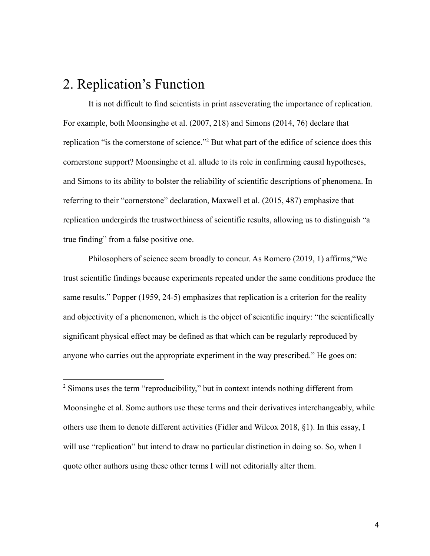### 2. Replication's Function

It is not difficult to find scientists in print asseverating the importance of replication. For example, both Moonsinghe et al. (2007, 218) and Simons (2014, 76) declare that replication "is the cornerstone of science."<sup>2</sup> But what part of the edifice of science does this cornerstone support? Moonsinghe et al. allude to its role in confirming causal hypotheses, and Simons to its ability to bolster the reliability of scientific descriptions of phenomena. In referring to their "cornerstone" declaration, Maxwell et al. (2015, 487) emphasize that replication undergirds the trustworthiness of scientific results, allowing us to distinguish "a true finding" from a false positive one.

Philosophers of science seem broadly to concur. As Romero (2019, 1) affirms,"We trust scientific findings because experiments repeated under the same conditions produce the same results." Popper (1959, 24-5) emphasizes that replication is a criterion for the reality and objectivity of a phenomenon, which is the object of scientific inquiry: "the scientifically significant physical effect may be defined as that which can be regularly reproduced by anyone who carries out the appropriate experiment in the way prescribed." He goes on:

<sup>2</sup> Simons uses the term "reproducibility," but in context intends nothing different from Moonsinghe et al. Some authors use these terms and their derivatives interchangeably, while others use them to denote different activities (Fidler and Wilcox 2018, §1). In this essay, I will use "replication" but intend to draw no particular distinction in doing so. So, when I quote other authors using these other terms I will not editorially alter them.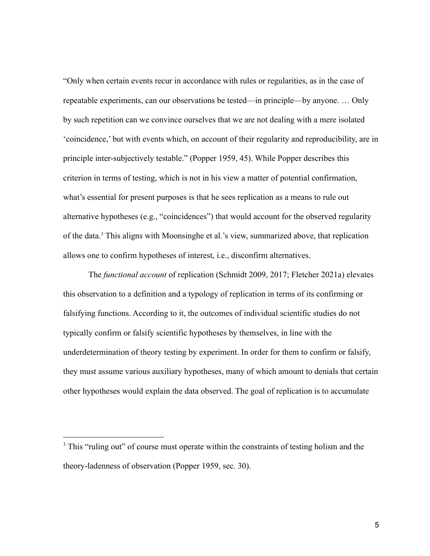"Only when certain events recur in accordance with rules or regularities, as in the case of repeatable experiments, can our observations be tested—in principle—by anyone. … Only by such repetition can we convince ourselves that we are not dealing with a mere isolated 'coincidence,' but with events which, on account of their regularity and reproducibility, are in principle inter-subjectively testable." (Popper 1959, 45). While Popper describes this criterion in terms of testing, which is not in his view a matter of potential confirmation, what's essential for present purposes is that he sees replication as a means to rule out alternative hypotheses (e.g., "coincidences") that would account for the observed regularity of the data.<sup>3</sup> This aligns with Moonsinghe et al.'s view, summarized above, that replication allows one to confirm hypotheses of interest, i.e., disconfirm alternatives.

The *functional account* of replication (Schmidt 2009, 2017; Fletcher 2021a) elevates this observation to a definition and a typology of replication in terms of its confirming or falsifying functions. According to it, the outcomes of individual scientific studies do not typically confirm or falsify scientific hypotheses by themselves, in line with the underdetermination of theory testing by experiment. In order for them to confirm or falsify, they must assume various auxiliary hypotheses, many of which amount to denials that certain other hypotheses would explain the data observed. The goal of replication is to accumulate

 $3$  This "ruling out" of course must operate within the constraints of testing holism and the theory-ladenness of observation (Popper 1959, sec. 30).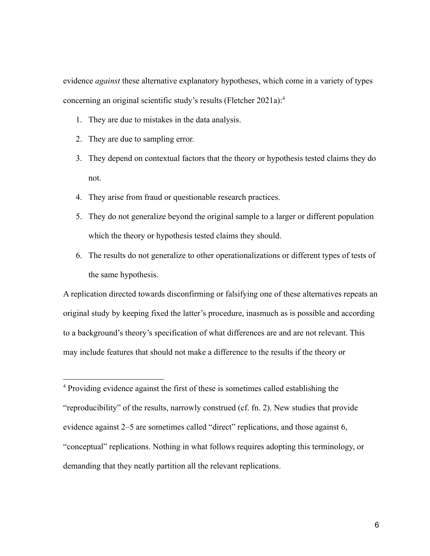evidence *against* these alternative explanatory hypotheses, which come in a variety of types concerning an original scientific study's results (Fletcher 2021a):<sup>4</sup>

- 1. They are due to mistakes in the data analysis.
- 2. They are due to sampling error.
- 3. They depend on contextual factors that the theory or hypothesis tested claims they do not.
- 4. They arise from fraud or questionable research practices.
- 5. They do not generalize beyond the original sample to a larger or different population which the theory or hypothesis tested claims they should.
- 6. The results do not generalize to other operationalizations or different types of tests of the same hypothesis.

A replication directed towards disconfirming or falsifying one of these alternatives repeats an original study by keeping fixed the latter's procedure, inasmuch as is possible and according to a background's theory's specification of what differences are and are not relevant. This may include features that should not make a difference to the results if the theory or

<sup>4</sup> Providing evidence against the first of these is sometimes called establishing the "reproducibility" of the results, narrowly construed (cf. fn. 2). New studies that provide evidence against 2–5 are sometimes called "direct" replications, and those against 6, "conceptual" replications. Nothing in what follows requires adopting this terminology, or demanding that they neatly partition all the relevant replications.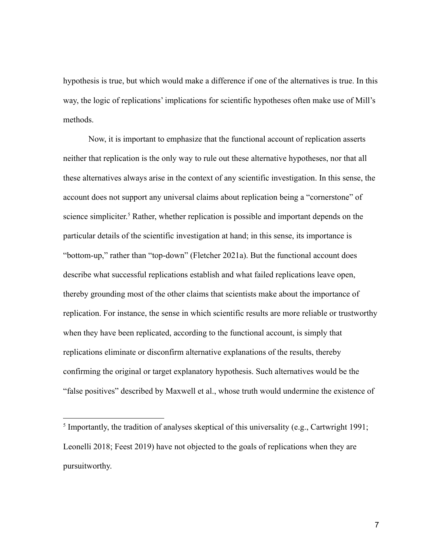hypothesis is true, but which would make a difference if one of the alternatives is true. In this way, the logic of replications' implications for scientific hypotheses often make use of Mill's methods.

Now, it is important to emphasize that the functional account of replication asserts neither that replication is the only way to rule out these alternative hypotheses, nor that all these alternatives always arise in the context of any scientific investigation. In this sense, the account does not support any universal claims about replication being a "cornerstone" of science simpliciter.<sup>5</sup> Rather, whether replication is possible and important depends on the particular details of the scientific investigation at hand; in this sense, its importance is "bottom-up," rather than "top-down" (Fletcher 2021a). But the functional account does describe what successful replications establish and what failed replications leave open, thereby grounding most of the other claims that scientists make about the importance of replication. For instance, the sense in which scientific results are more reliable or trustworthy when they have been replicated, according to the functional account, is simply that replications eliminate or disconfirm alternative explanations of the results, thereby confirming the original or target explanatory hypothesis. Such alternatives would be the "false positives" described by Maxwell et al., whose truth would undermine the existence of

<sup>&</sup>lt;sup>5</sup> Importantly, the tradition of analyses skeptical of this universality (e.g., Cartwright 1991; Leonelli 2018; Feest 2019) have not objected to the goals of replications when they are pursuitworthy.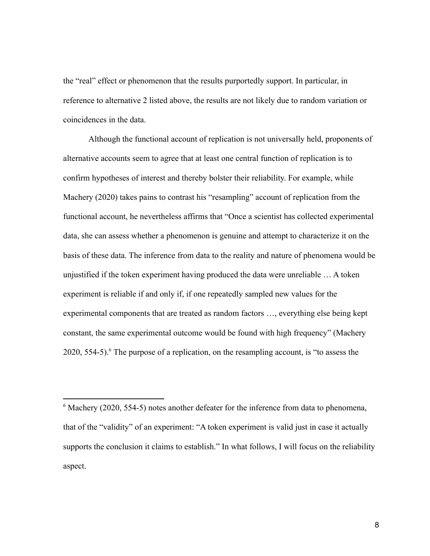the "real" effect or phenomenon that the results purportedly support. In particular, in reference to alternative 2 listed above, the results are not likely due to random variation or coincidences in the data.

Although the functional account of replication is not universally held, proponents of alternative accounts seem to agree that at least one central function of replication is to confirm hypotheses of interest and thereby bolster their reliability. For example, while Machery (2020) takes pains to contrast his "resampling" account of replication from the functional account, he nevertheless affirms that "Once a scientist has collected experimental data, she can assess whether a phenomenon is genuine and attempt to characterize it on the basis of these data. The inference from data to the reality and nature of phenomena would be unjustified if the token experiment having produced the data were unreliable … A token experiment is reliable if and only if, if one repeatedly sampled new values for the experimental components that are treated as random factors …, everything else being kept constant, the same experimental outcome would be found with high frequency" (Machery  $2020$ , 554-5).<sup>6</sup> The purpose of a replication, on the resampling account, is "to assess the

 $6$  Machery (2020, 554-5) notes another defeater for the inference from data to phenomena, that of the "validity" of an experiment: "A token experiment is valid just in case it actually supports the conclusion it claims to establish." In what follows, I will focus on the reliability aspect.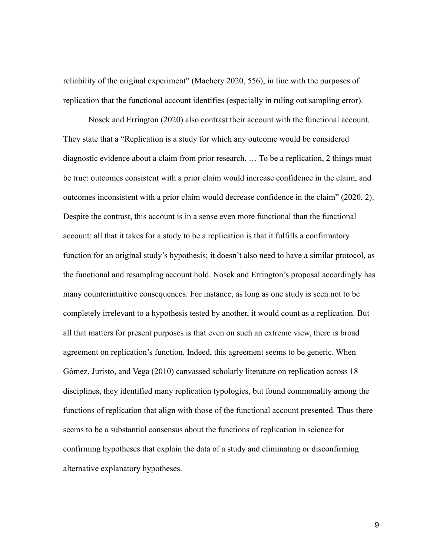reliability of the original experiment" (Machery 2020, 556), in line with the purposes of replication that the functional account identifies (especially in ruling out sampling error).

Nosek and Errington (2020) also contrast their account with the functional account. They state that a "Replication is a study for which any outcome would be considered diagnostic evidence about a claim from prior research. … To be a replication, 2 things must be true: outcomes consistent with a prior claim would increase confidence in the claim, and outcomes inconsistent with a prior claim would decrease confidence in the claim" (2020, 2). Despite the contrast, this account is in a sense even more functional than the functional account: all that it takes for a study to be a replication is that it fulfills a confirmatory function for an original study's hypothesis; it doesn't also need to have a similar protocol, as the functional and resampling account hold. Nosek and Errington's proposal accordingly has many counterintuitive consequences. For instance, as long as one study is seen not to be completely irrelevant to a hypothesis tested by another, it would count as a replication. But all that matters for present purposes is that even on such an extreme view, there is broad agreement on replication's function. Indeed, this agreement seems to be generic. When Gómez, Juristo, and Vega (2010) canvassed scholarly literature on replication across 18 disciplines, they identified many replication typologies, but found commonality among the functions of replication that align with those of the functional account presented. Thus there seems to be a substantial consensus about the functions of replication in science for confirming hypotheses that explain the data of a study and eliminating or disconfirming alternative explanatory hypotheses.

9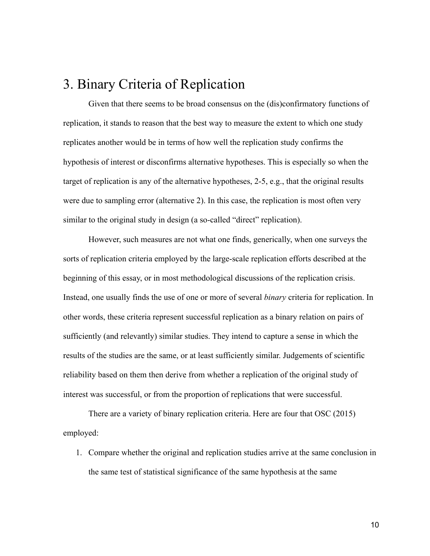## 3. Binary Criteria of Replication

Given that there seems to be broad consensus on the (dis)confirmatory functions of replication, it stands to reason that the best way to measure the extent to which one study replicates another would be in terms of how well the replication study confirms the hypothesis of interest or disconfirms alternative hypotheses. This is especially so when the target of replication is any of the alternative hypotheses, 2-5, e.g., that the original results were due to sampling error (alternative 2). In this case, the replication is most often very similar to the original study in design (a so-called "direct" replication).

However, such measures are not what one finds, generically, when one surveys the sorts of replication criteria employed by the large-scale replication efforts described at the beginning of this essay, or in most methodological discussions of the replication crisis. Instead, one usually finds the use of one or more of several *binary* criteria for replication. In other words, these criteria represent successful replication as a binary relation on pairs of sufficiently (and relevantly) similar studies. They intend to capture a sense in which the results of the studies are the same, or at least sufficiently similar. Judgements of scientific reliability based on them then derive from whether a replication of the original study of interest was successful, or from the proportion of replications that were successful.

There are a variety of binary replication criteria. Here are four that OSC (2015) employed:

1. Compare whether the original and replication studies arrive at the same conclusion in the same test of statistical significance of the same hypothesis at the same

10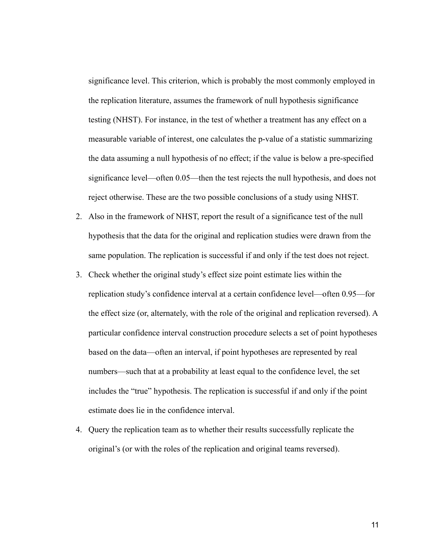significance level. This criterion, which is probably the most commonly employed in the replication literature, assumes the framework of null hypothesis significance testing (NHST). For instance, in the test of whether a treatment has any effect on a measurable variable of interest, one calculates the p-value of a statistic summarizing the data assuming a null hypothesis of no effect; if the value is below a pre-specified significance level—often 0.05—then the test rejects the null hypothesis, and does not reject otherwise. These are the two possible conclusions of a study using NHST.

- 2. Also in the framework of NHST, report the result of a significance test of the null hypothesis that the data for the original and replication studies were drawn from the same population. The replication is successful if and only if the test does not reject.
- 3. Check whether the original study's effect size point estimate lies within the replication study's confidence interval at a certain confidence level—often 0.95—for the effect size (or, alternately, with the role of the original and replication reversed). A particular confidence interval construction procedure selects a set of point hypotheses based on the data—often an interval, if point hypotheses are represented by real numbers—such that at a probability at least equal to the confidence level, the set includes the "true" hypothesis. The replication is successful if and only if the point estimate does lie in the confidence interval.
- 4. Query the replication team as to whether their results successfully replicate the original's (or with the roles of the replication and original teams reversed).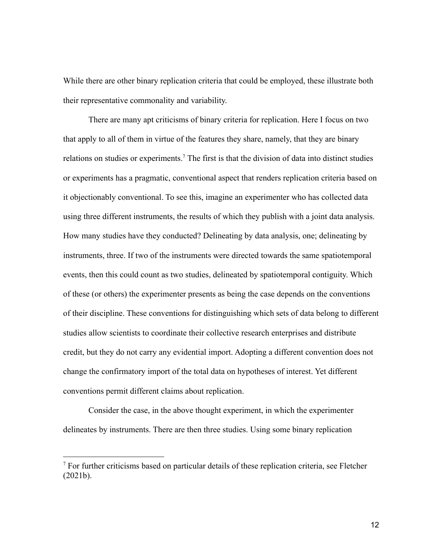While there are other binary replication criteria that could be employed, these illustrate both their representative commonality and variability.

There are many apt criticisms of binary criteria for replication. Here I focus on two that apply to all of them in virtue of the features they share, namely, that they are binary relations on studies or experiments.<sup>7</sup> The first is that the division of data into distinct studies or experiments has a pragmatic, conventional aspect that renders replication criteria based on it objectionably conventional. To see this, imagine an experimenter who has collected data using three different instruments, the results of which they publish with a joint data analysis. How many studies have they conducted? Delineating by data analysis, one; delineating by instruments, three. If two of the instruments were directed towards the same spatiotemporal events, then this could count as two studies, delineated by spatiotemporal contiguity. Which of these (or others) the experimenter presents as being the case depends on the conventions of their discipline. These conventions for distinguishing which sets of data belong to different studies allow scientists to coordinate their collective research enterprises and distribute credit, but they do not carry any evidential import. Adopting a different convention does not change the confirmatory import of the total data on hypotheses of interest. Yet different conventions permit different claims about replication.

Consider the case, in the above thought experiment, in which the experimenter delineates by instruments. There are then three studies. Using some binary replication

<sup>&</sup>lt;sup>7</sup> For further criticisms based on particular details of these replication criteria, see Fletcher (2021b).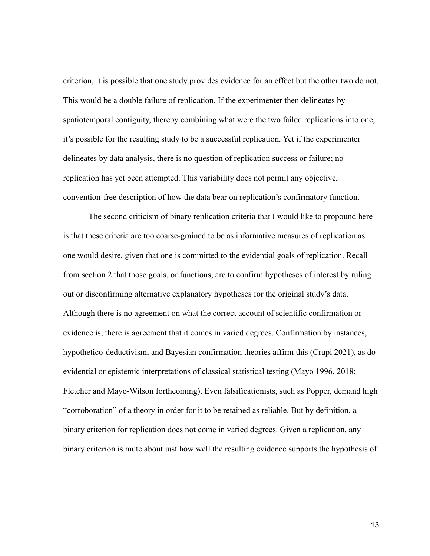criterion, it is possible that one study provides evidence for an effect but the other two do not. This would be a double failure of replication. If the experimenter then delineates by spatiotemporal contiguity, thereby combining what were the two failed replications into one, it's possible for the resulting study to be a successful replication. Yet if the experimenter delineates by data analysis, there is no question of replication success or failure; no replication has yet been attempted. This variability does not permit any objective, convention-free description of how the data bear on replication's confirmatory function.

The second criticism of binary replication criteria that I would like to propound here is that these criteria are too coarse-grained to be as informative measures of replication as one would desire, given that one is committed to the evidential goals of replication. Recall from section 2 that those goals, or functions, are to confirm hypotheses of interest by ruling out or disconfirming alternative explanatory hypotheses for the original study's data. Although there is no agreement on what the correct account of scientific confirmation or evidence is, there is agreement that it comes in varied degrees. Confirmation by instances, hypothetico-deductivism, and Bayesian confirmation theories affirm this (Crupi 2021), as do evidential or epistemic interpretations of classical statistical testing (Mayo 1996, 2018; Fletcher and Mayo-Wilson forthcoming). Even falsificationists, such as Popper, demand high "corroboration" of a theory in order for it to be retained as reliable. But by definition, a binary criterion for replication does not come in varied degrees. Given a replication, any binary criterion is mute about just how well the resulting evidence supports the hypothesis of

13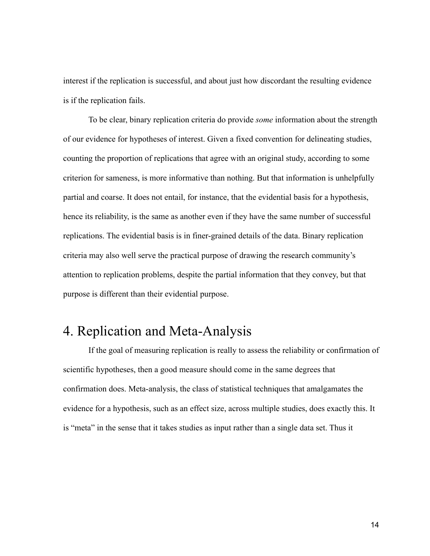interest if the replication is successful, and about just how discordant the resulting evidence is if the replication fails.

To be clear, binary replication criteria do provide *some* information about the strength of our evidence for hypotheses of interest. Given a fixed convention for delineating studies, counting the proportion of replications that agree with an original study, according to some criterion for sameness, is more informative than nothing. But that information is unhelpfully partial and coarse. It does not entail, for instance, that the evidential basis for a hypothesis, hence its reliability, is the same as another even if they have the same number of successful replications. The evidential basis is in finer-grained details of the data. Binary replication criteria may also well serve the practical purpose of drawing the research community's attention to replication problems, despite the partial information that they convey, but that purpose is different than their evidential purpose.

## 4. Replication and Meta-Analysis

If the goal of measuring replication is really to assess the reliability or confirmation of scientific hypotheses, then a good measure should come in the same degrees that confirmation does. Meta-analysis, the class of statistical techniques that amalgamates the evidence for a hypothesis, such as an effect size, across multiple studies, does exactly this. It is "meta" in the sense that it takes studies as input rather than a single data set. Thus it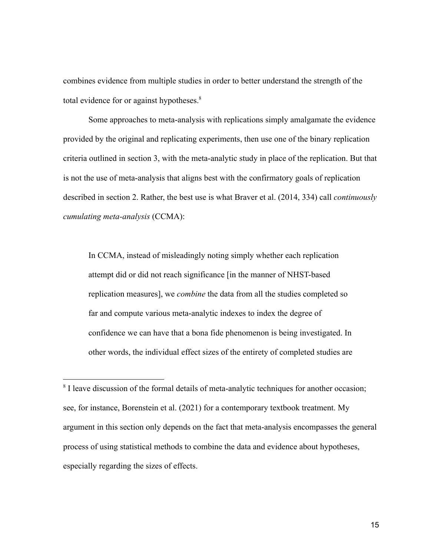combines evidence from multiple studies in order to better understand the strength of the total evidence for or against hypotheses.<sup>8</sup>

Some approaches to meta-analysis with replications simply amalgamate the evidence provided by the original and replicating experiments, then use one of the binary replication criteria outlined in section 3, with the meta-analytic study in place of the replication. But that is not the use of meta-analysis that aligns best with the confirmatory goals of replication described in section 2. Rather, the best use is what Braver et al. (2014, 334) call *continuously cumulating meta-analysis* (CCMA):

In CCMA, instead of misleadingly noting simply whether each replication attempt did or did not reach significance [in the manner of NHST-based replication measures], we *combine* the data from all the studies completed so far and compute various meta-analytic indexes to index the degree of confidence we can have that a bona fide phenomenon is being investigated. In other words, the individual effect sizes of the entirety of completed studies are

<sup>&</sup>lt;sup>8</sup> I leave discussion of the formal details of meta-analytic techniques for another occasion; see, for instance, Borenstein et al. (2021) for a contemporary textbook treatment. My argument in this section only depends on the fact that meta-analysis encompasses the general process of using statistical methods to combine the data and evidence about hypotheses, especially regarding the sizes of effects.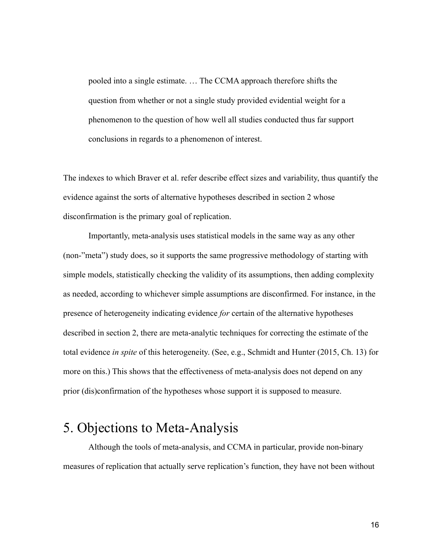pooled into a single estimate. … The CCMA approach therefore shifts the question from whether or not a single study provided evidential weight for a phenomenon to the question of how well all studies conducted thus far support conclusions in regards to a phenomenon of interest.

The indexes to which Braver et al. refer describe effect sizes and variability, thus quantify the evidence against the sorts of alternative hypotheses described in section 2 whose disconfirmation is the primary goal of replication.

Importantly, meta-analysis uses statistical models in the same way as any other (non-"meta") study does, so it supports the same progressive methodology of starting with simple models, statistically checking the validity of its assumptions, then adding complexity as needed, according to whichever simple assumptions are disconfirmed. For instance, in the presence of heterogeneity indicating evidence *for* certain of the alternative hypotheses described in section 2, there are meta-analytic techniques for correcting the estimate of the total evidence *in spite* of this heterogeneity. (See, e.g., Schmidt and Hunter (2015, Ch. 13) for more on this.) This shows that the effectiveness of meta-analysis does not depend on any prior (dis)confirmation of the hypotheses whose support it is supposed to measure.

### 5. Objections to Meta-Analysis

Although the tools of meta-analysis, and CCMA in particular, provide non-binary measures of replication that actually serve replication's function, they have not been without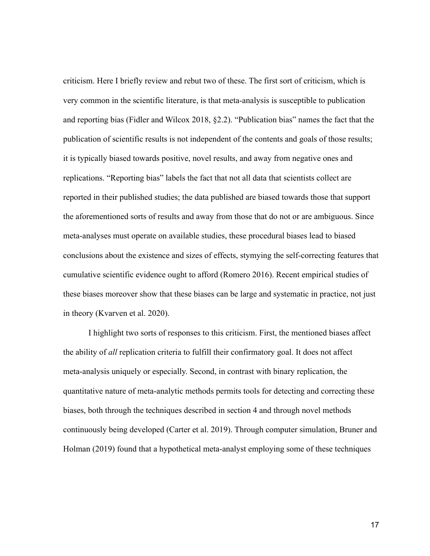criticism. Here I briefly review and rebut two of these. The first sort of criticism, which is very common in the scientific literature, is that meta-analysis is susceptible to publication and reporting bias (Fidler and Wilcox 2018, §2.2). "Publication bias" names the fact that the publication of scientific results is not independent of the contents and goals of those results; it is typically biased towards positive, novel results, and away from negative ones and replications. "Reporting bias" labels the fact that not all data that scientists collect are reported in their published studies; the data published are biased towards those that support the aforementioned sorts of results and away from those that do not or are ambiguous. Since meta-analyses must operate on available studies, these procedural biases lead to biased conclusions about the existence and sizes of effects, stymying the self-correcting features that cumulative scientific evidence ought to afford (Romero 2016). Recent empirical studies of these biases moreover show that these biases can be large and systematic in practice, not just in theory (Kvarven et al. 2020).

I highlight two sorts of responses to this criticism. First, the mentioned biases affect the ability of *all* replication criteria to fulfill their confirmatory goal. It does not affect meta-analysis uniquely or especially. Second, in contrast with binary replication, the quantitative nature of meta-analytic methods permits tools for detecting and correcting these biases, both through the techniques described in section 4 and through novel methods continuously being developed (Carter et al. 2019). Through computer simulation, Bruner and Holman (2019) found that a hypothetical meta-analyst employing some of these techniques

17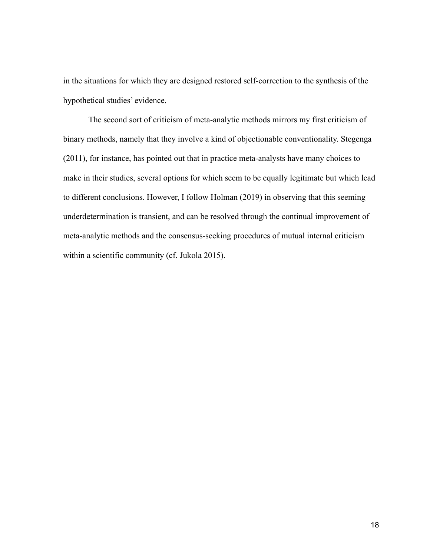in the situations for which they are designed restored self-correction to the synthesis of the hypothetical studies' evidence.

The second sort of criticism of meta-analytic methods mirrors my first criticism of binary methods, namely that they involve a kind of objectionable conventionality. Stegenga (2011), for instance, has pointed out that in practice meta-analysts have many choices to make in their studies, several options for which seem to be equally legitimate but which lead to different conclusions. However, I follow Holman (2019) in observing that this seeming underdetermination is transient, and can be resolved through the continual improvement of meta-analytic methods and the consensus-seeking procedures of mutual internal criticism within a scientific community (cf. Jukola 2015).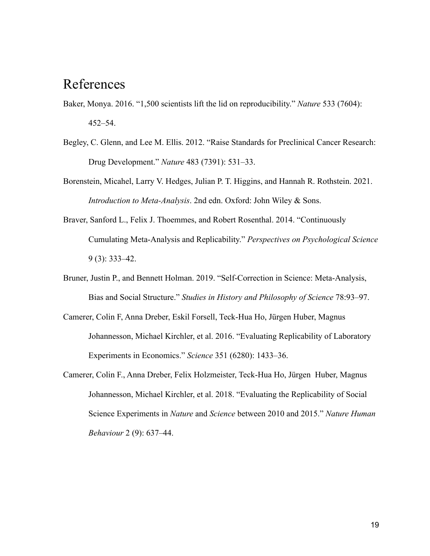#### References

- Baker, Monya. 2016. "1,500 scientists lift the lid on reproducibility." *Nature* 533 (7604): 452–54.
- Begley, C. Glenn, and Lee M. Ellis. 2012. "Raise Standards for Preclinical Cancer Research: Drug Development." *Nature* 483 (7391): 531–33.
- Borenstein, Micahel, Larry V. Hedges, Julian P. T. Higgins, and Hannah R. Rothstein. 2021. *Introduction to Meta-Analysis*. 2nd edn. Oxford: John Wiley & Sons.
- Braver, Sanford L., Felix J. Thoemmes, and Robert Rosenthal. 2014. "Continuously Cumulating Meta-Analysis and Replicability." *Perspectives on Psychological Science* 9 (3): 333–42.
- Bruner, Justin P., and Bennett Holman. 2019. "Self-Correction in Science: Meta-Analysis, Bias and Social Structure." *Studies in History and Philosophy of Science* 78:93–97.
- Camerer, Colin F, Anna Dreber, Eskil Forsell, Teck-Hua Ho, Jürgen Huber, Magnus Johannesson, Michael Kirchler, et al. 2016. "Evaluating Replicability of Laboratory Experiments in Economics." *Science* 351 (6280): 1433–36.
- Camerer, Colin F., Anna Dreber, Felix Holzmeister, Teck-Hua Ho, Jürgen Huber, Magnus Johannesson, Michael Kirchler, et al. 2018. "Evaluating the Replicability of Social Science Experiments in *Nature* and *Science* between 2010 and 2015." *Nature Human Behaviour* 2 (9): 637–44.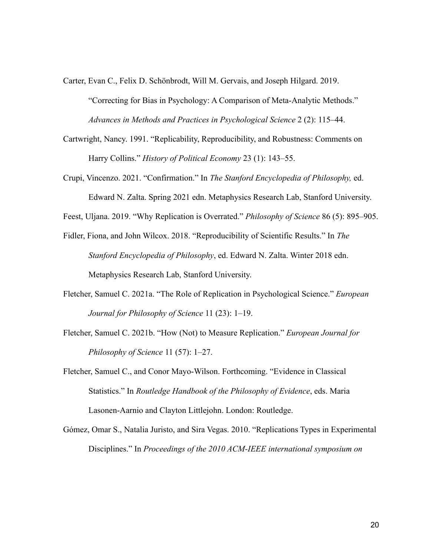Carter, Evan C., Felix D. Schönbrodt, Will M. Gervais, and Joseph Hilgard. 2019.

"Correcting for Bias in Psychology: A Comparison of Meta-Analytic Methods." *Advances in Methods and Practices in Psychological Science* 2 (2): 115–44.

- Cartwright, Nancy. 1991. "Replicability, Reproducibility, and Robustness: Comments on Harry Collins." *History of Political Economy* 23 (1): 143–55.
- Crupi, Vincenzo. 2021. "Confirmation." In *The Stanford Encyclopedia of Philosophy,* ed. Edward N. Zalta. Spring 2021 edn. Metaphysics Research Lab, Stanford University.

Feest, Uljana. 2019. "Why Replication is Overrated." *Philosophy of Science* 86 (5): 895–905.

- Fidler, Fiona, and John Wilcox. 2018. "Reproducibility of Scientific Results." In *The Stanford Encyclopedia of Philosophy*, ed. Edward N. Zalta. Winter 2018 edn. Metaphysics Research Lab, Stanford University.
- Fletcher, Samuel C. 2021a. "The Role of Replication in Psychological Science." *European Journal for Philosophy of Science* 11 (23): 1–19.
- Fletcher, Samuel C. 2021b. "How (Not) to Measure Replication." *European Journal for Philosophy of Science* 11 (57): 1–27.
- Fletcher, Samuel C., and Conor Mayo-Wilson. Forthcoming. "Evidence in Classical Statistics." In *Routledge Handbook of the Philosophy of Evidence*, eds. Maria Lasonen-Aarnio and Clayton Littlejohn. London: Routledge.
- Gómez, Omar S., Natalia Juristo, and Sira Vegas. 2010. "Replications Types in Experimental Disciplines." In *Proceedings of the 2010 ACM-IEEE international symposium on*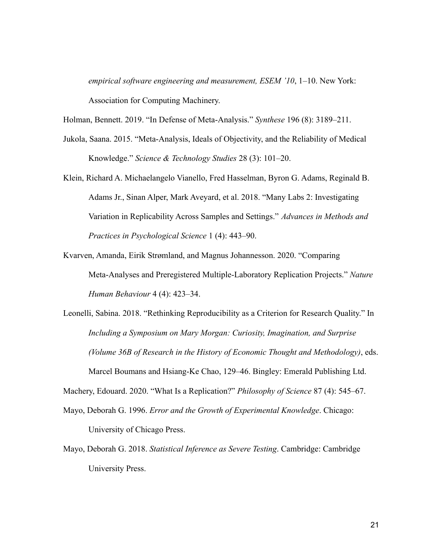*empirical software engineering and measurement, ESEM '10*, 1–10. New York: Association for Computing Machinery.

Holman, Bennett. 2019. "In Defense of Meta-Analysis." *Synthese* 196 (8): 3189–211.

- Jukola, Saana. 2015. "Meta-Analysis, Ideals of Objectivity, and the Reliability of Medical Knowledge." *Science & Technology Studies* 28 (3): 101–20.
- Klein, Richard A. Michaelangelo Vianello, Fred Hasselman, Byron G. Adams, Reginald B. Adams Jr., Sinan Alper, Mark Aveyard, et al. 2018. "Many Labs 2: Investigating Variation in Replicability Across Samples and Settings." *Advances in Methods and Practices in Psychological Science* 1 (4): 443–90.
- Kvarven, Amanda, Eirik Strømland, and Magnus Johannesson. 2020. "Comparing Meta-Analyses and Preregistered Multiple-Laboratory Replication Projects." *Nature Human Behaviour* 4 (4): 423–34.
- Leonelli, Sabina. 2018. "Rethinking Reproducibility as a Criterion for Research Quality." In *Including a Symposium on Mary Morgan: Curiosity, Imagination, and Surprise (Volume 36B of Research in the History of Economic Thought and Methodology)*, eds. Marcel Boumans and Hsiang-Ke Chao, 129–46. Bingley: Emerald Publishing Ltd.

Machery, Edouard. 2020. "What Is a Replication?" *Philosophy of Science* 87 (4): 545–67.

- Mayo, Deborah G. 1996. *Error and the Growth of Experimental Knowledge*. Chicago: University of Chicago Press.
- Mayo, Deborah G. 2018. *Statistical Inference as Severe Testing*. Cambridge: Cambridge University Press.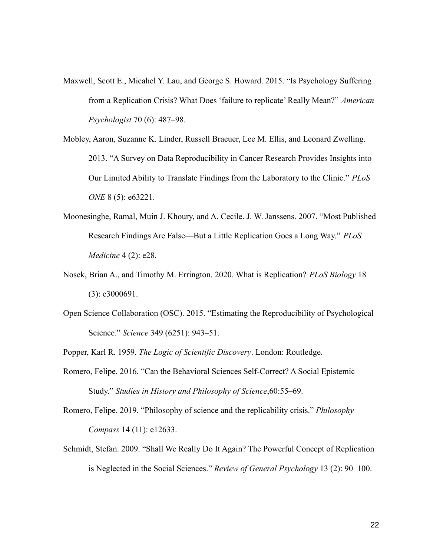- Maxwell, Scott E., Micahel Y. Lau, and George S. Howard. 2015. "Is Psychology Suffering from a Replication Crisis? What Does 'failure to replicate' Really Mean?" *American Psychologist* 70 (6): 487–98.
- Mobley, Aaron, Suzanne K. Linder, Russell Braeuer, Lee M. Ellis, and Leonard Zwelling. 2013. "A Survey on Data Reproducibility in Cancer Research Provides Insights into Our Limited Ability to Translate Findings from the Laboratory to the Clinic." *PLoS ONE* 8 (5): e63221.
- Moonesinghe, Ramal, Muin J. Khoury, and A. Cecile. J. W. Janssens. 2007. "Most Published Research Findings Are False—But a Little Replication Goes a Long Way." *PLoS Medicine* 4 (2): e28.
- Nosek, Brian A., and Timothy M. Errington. 2020. What is Replication? *PLoS Biology* 18 (3): e3000691.
- Open Science Collaboration (OSC). 2015. "Estimating the Reproducibility of Psychological Science." *Science* 349 (6251): 943–51.

Popper, Karl R. 1959. *The Logic of Scientific Discovery*. London: Routledge.

Romero, Felipe. 2016. "Can the Behavioral Sciences Self-Correct? A Social Epistemic Study." *Studies in History and Philosophy of Science*,60:55–69.

Romero, Felipe. 2019. "Philosophy of science and the replicability crisis." *Philosophy Compass* 14 (11): e12633.

Schmidt, Stefan. 2009. "Shall We Really Do It Again? The Powerful Concept of Replication is Neglected in the Social Sciences." *Review of General Psychology* 13 (2): 90–100.